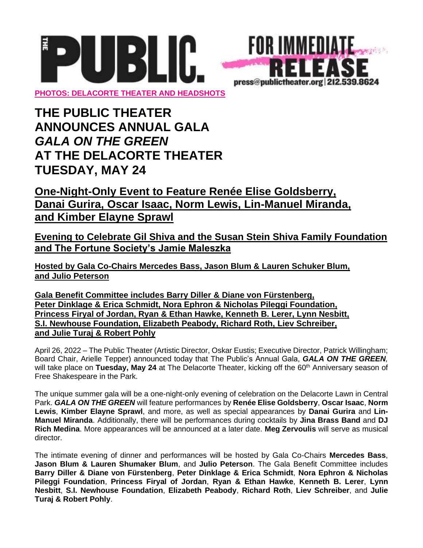



## **THE PUBLIC THEATER ANNOUNCES ANNUAL GALA** *GALA ON THE GREEN* **AT THE DELACORTE THEATER TUESDAY, MAY 24**

## **One-Night-Only Event to Feature Renée Elise Goldsberry, Danai Gurira, Oscar Isaac, Norm Lewis, Lin-Manuel Miranda, and Kimber Elayne Sprawl**

**Evening to Celebrate Gil Shiva and the Susan Stein Shiva Family Foundation and The Fortune Society's Jamie Maleszka**

**Hosted by Gala Co-Chairs Mercedes Bass, Jason Blum & Lauren Schuker Blum, and Julio Peterson**

**Gala Benefit Committee includes Barry Diller & Diane von Fürstenberg, Peter Dinklage & Erica Schmidt, Nora Ephron & Nicholas Pileggi Foundation, Princess Firyal of Jordan, Ryan & Ethan Hawke, Kenneth B. Lerer, Lynn Nesbitt, S.I. Newhouse Foundation, Elizabeth Peabody, Richard Roth, Liev Schreiber, and Julie Turaj & Robert Pohly**

April 26, 2022 – The Public Theater (Artistic Director, Oskar Eustis; Executive Director, Patrick Willingham; Board Chair, Arielle Tepper) announced today that The Public's Annual Gala, *GALA ON THE GREEN,* will take place on **Tuesday, May 24** at The Delacorte Theater, kicking off the 60<sup>th</sup> Anniversary season of Free Shakespeare in the Park.

The unique summer gala will be a one-night-only evening of celebration on the Delacorte Lawn in Central Park. *GALA ON THE GREEN* will feature performances by **Renée Elise Goldsberry**, **Oscar Isaac**, **Norm Lewis**, **Kimber Elayne Sprawl**, and more, as well as special appearances by **Danai Gurira** and **Lin-Manuel Miranda**. Additionally, there will be performances during cocktails by **Jina Brass Band** and **DJ Rich Medina**. More appearances will be announced at a later date. **Meg Zervoulis** will serve as musical director.

The intimate evening of dinner and performances will be hosted by Gala Co-Chairs **Mercedes Bass**, **Jason Blum & Lauren Shumaker Blum**, and **Julio Peterson**. The Gala Benefit Committee includes **Barry Diller & Diane von Fürstenberg**, **Peter Dinklage & Erica Schmidt**, **Nora Ephron & Nicholas Pileggi Foundation**, **Princess Firyal of Jordan**, **Ryan & Ethan Hawke**, **Kenneth B. Lerer**, **Lynn Nesbitt**, **S.I. Newhouse Foundation**, **Elizabeth Peabody**, **Richard Roth**, **Liev Schreiber**, and **Julie Turaj & Robert Pohly**.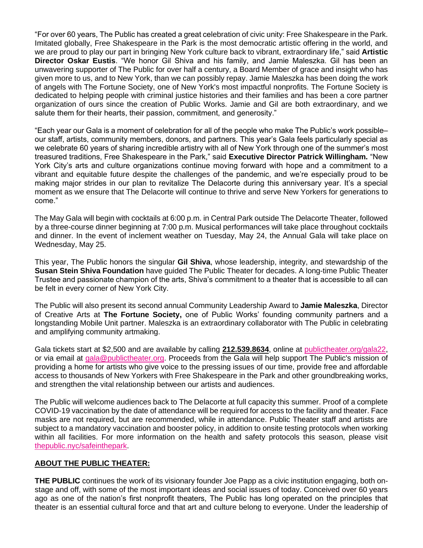"For over 60 years, The Public has created a great celebration of civic unity: Free Shakespeare in the Park. Imitated globally, Free Shakespeare in the Park is the most democratic artistic offering in the world, and we are proud to play our part in bringing New York culture back to vibrant, extraordinary life," said **Artistic Director Oskar Eustis**. "We honor Gil Shiva and his family, and Jamie Maleszka. Gil has been an unwavering supporter of The Public for over half a century, a Board Member of grace and insight who has given more to us, and to New York, than we can possibly repay. Jamie Maleszka has been doing the work of angels with The Fortune Society, one of New York's most impactful nonprofits. The Fortune Society is dedicated to helping people with criminal justice histories and their families and has been a core partner organization of ours since the creation of Public Works. Jamie and Gil are both extraordinary, and we salute them for their hearts, their passion, commitment, and generosity."

"Each year our Gala is a moment of celebration for all of the people who make The Public's work possible– our staff, artists, community members, donors, and partners. This year's Gala feels particularly special as we celebrate 60 years of sharing incredible artistry with all of New York through one of the summer's most treasured traditions, Free Shakespeare in the Park," said **Executive Director Patrick Willingham.** "New York City's arts and culture organizations continue moving forward with hope and a commitment to a vibrant and equitable future despite the challenges of the pandemic, and we're especially proud to be making major strides in our plan to revitalize The Delacorte during this anniversary year. It's a special moment as we ensure that The Delacorte will continue to thrive and serve New Yorkers for generations to come."

The May Gala will begin with cocktails at 6:00 p.m. in Central Park outside The Delacorte Theater, followed by a three-course dinner beginning at 7:00 p.m. Musical performances will take place throughout cocktails and dinner. In the event of inclement weather on Tuesday, May 24, the Annual Gala will take place on Wednesday, May 25.

This year, The Public honors the singular **Gil Shiva**, whose leadership, integrity, and stewardship of the **Susan Stein Shiva Foundation** have guided The Public Theater for decades. A long-time Public Theater Trustee and passionate champion of the arts, Shiva's commitment to a theater that is accessible to all can be felt in every corner of New York City.

The Public will also present its second annual Community Leadership Award to **Jamie Maleszka**, Director of Creative Arts at **The Fortune Society,** one of Public Works' founding community partners and a longstanding Mobile Unit partner. Maleszka is an extraordinary collaborator with The Public in celebrating and amplifying community artmaking.

Gala tickets start at \$2,500 and are available by calling **212.539.8634**, online at [publictheater.org/gala22,](http://www.publictheater.org/gala22) or via email at [gala@publictheater.org.](mailto:gala@publictheater.org) Proceeds from the Gala will help support The Public's mission of providing a home for artists who give voice to the pressing issues of our time, provide free and affordable access to thousands of New Yorkers with Free Shakespeare in the Park and other groundbreaking works, and strengthen the vital relationship between our artists and audiences.

The Public will welcome audiences back to The Delacorte at full capacity this summer. Proof of a complete COVID-19 vaccination by the date of attendance will be required for access to the facility and theater. Face masks are not required, but are recommended, while in attendance. Public Theater staff and artists are subject to a mandatory vaccination and booster policy, in addition to onsite testing protocols when working within all facilities. For more information on the health and safety protocols this season, please visi[t](http://thepublic.nyc/safeinthepark) [thepublic.nyc/safeinthepark.](http://thepublic.nyc/safeinthepark)

## **ABOUT THE PUBLIC THEATER:**

**THE PUBLIC** continues the work of its visionary founder Joe Papp as a civic institution engaging, both onstage and off, with some of the most important ideas and social issues of today. Conceived over 60 years ago as one of the nation's first nonprofit theaters, The Public has long operated on the principles that theater is an essential cultural force and that art and culture belong to everyone. Under the leadership of